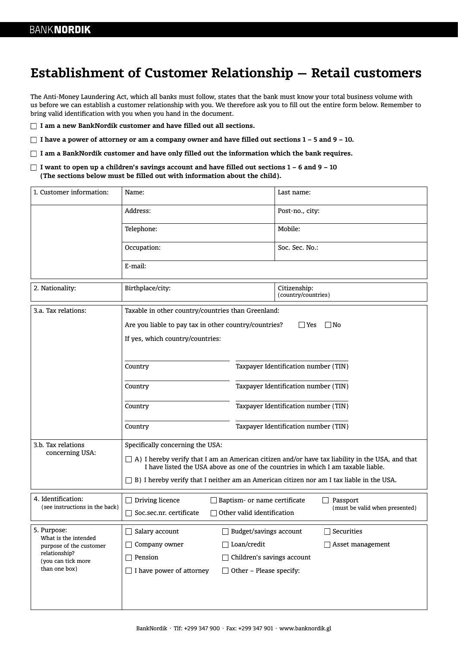# **Establishment of Customer Relationship — Retail customers**

The Anti-Money Laundering Act, which all banks must follow, states that the bank must know your total business volume with us before we can establish a customer relationship with you. We therefore ask you to fill out the entire form below. Remember to bring valid identification with you when you hand in the document.

**I am a new BankNordik customer and have filled out all sections.**

**I have a power of attorney or am a company owner and have filled out sections 1 – 5 and 9 – 10.**

**I am a BankNordik customer and have only filled out the information which the bank requires.**

**I want to open up a children's savings account and have filled out sections 1 – 6 and 9 – 10 (The sections below must be filled out with information about the child).**

| 1. Customer information:                                                                                               | Name:                                                                                                                                                                                |                                      | Last name:                          |  |
|------------------------------------------------------------------------------------------------------------------------|--------------------------------------------------------------------------------------------------------------------------------------------------------------------------------------|--------------------------------------|-------------------------------------|--|
|                                                                                                                        | Address:                                                                                                                                                                             |                                      | Post-no., city:                     |  |
|                                                                                                                        | Telephone:                                                                                                                                                                           |                                      | Mobile:                             |  |
|                                                                                                                        | Occupation:                                                                                                                                                                          |                                      | Soc. Sec. No.:                      |  |
|                                                                                                                        | E-mail:                                                                                                                                                                              |                                      |                                     |  |
| 2. Nationality:                                                                                                        | Birthplace/city:                                                                                                                                                                     |                                      | Citizenship:<br>(country/countries) |  |
| 3.a. Tax relations:                                                                                                    | Taxable in other country/countries than Greenland:                                                                                                                                   |                                      |                                     |  |
|                                                                                                                        | Are you liable to pay tax in other country/countries?<br>  Yes<br>$ $ No                                                                                                             |                                      |                                     |  |
|                                                                                                                        | If yes, which country/countries:                                                                                                                                                     |                                      |                                     |  |
|                                                                                                                        |                                                                                                                                                                                      |                                      |                                     |  |
|                                                                                                                        | Country                                                                                                                                                                              | Taxpayer Identification number (TIN) |                                     |  |
|                                                                                                                        | Country                                                                                                                                                                              | Taxpayer Identification number (TIN) |                                     |  |
|                                                                                                                        | Country                                                                                                                                                                              | Taxpayer Identification number (TIN) |                                     |  |
|                                                                                                                        | Country                                                                                                                                                                              | Taxpayer Identification number (TIN) |                                     |  |
| 3.b. Tax relations<br>concerning USA:                                                                                  | Specifically concerning the USA:                                                                                                                                                     |                                      |                                     |  |
|                                                                                                                        | A) I hereby verify that I am an American citizen and/or have tax liability in the USA, and that<br>I have listed the USA above as one of the countries in which I am taxable liable. |                                      |                                     |  |
|                                                                                                                        | B) I hereby verify that I neither am an American citizen nor am I tax liable in the USA.                                                                                             |                                      |                                     |  |
| 4. Identification:<br>(see instructions in the back)                                                                   | Driving licence<br>$\mathsf{L}$                                                                                                                                                      | Baptism- or name certificate         | Passport                            |  |
|                                                                                                                        | Soc.sec.nr. certificate                                                                                                                                                              | Other valid identification           | (must be valid when presented)      |  |
| 5. Purpose:<br>What is the intended<br>purpose of the customer<br>relationship?<br>(you can tick more<br>than one box) | Salary account                                                                                                                                                                       | Budget/savings account               | Securities                          |  |
|                                                                                                                        | Company owner                                                                                                                                                                        | $\Box$ Loan/credit                   | $\Box$ Asset management             |  |
|                                                                                                                        | $\Box$ Pension<br>□ Children's savings account                                                                                                                                       |                                      |                                     |  |
|                                                                                                                        | $\Box$ I have power of attorney<br>$\Box$ Other - Please specify:                                                                                                                    |                                      |                                     |  |
|                                                                                                                        |                                                                                                                                                                                      |                                      |                                     |  |
|                                                                                                                        |                                                                                                                                                                                      |                                      |                                     |  |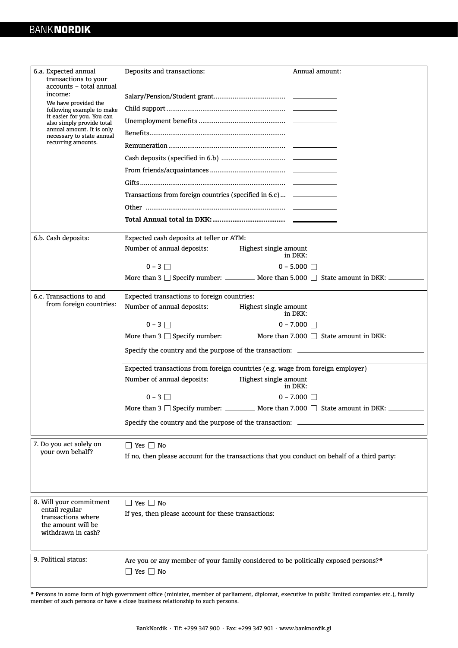| 6.a. Expected annual<br>transactions to your<br>accounts - total annual<br>income:<br>We have provided the<br>following example to make<br>it easier for you. You can<br>also simply provide total<br>annual amount. It is only<br>necessary to state annual<br>recurring amounts. | Deposits and transactions:<br>Annual amount:<br>Transactions from foreign countries (specified in 6.c) ______________ |  |  |  |
|------------------------------------------------------------------------------------------------------------------------------------------------------------------------------------------------------------------------------------------------------------------------------------|-----------------------------------------------------------------------------------------------------------------------|--|--|--|
| 6.b. Cash deposits:                                                                                                                                                                                                                                                                | Expected cash deposits at teller or ATM:                                                                              |  |  |  |
|                                                                                                                                                                                                                                                                                    | Number of annual deposits:<br>Highest single amount<br>in DKK:                                                        |  |  |  |
|                                                                                                                                                                                                                                                                                    | $0 - 3$<br>$0 - 5.000$                                                                                                |  |  |  |
|                                                                                                                                                                                                                                                                                    | More than 3 $\Box$ Specify number: _________ More than 5.000 $\Box$ State amount in DKK: _______                      |  |  |  |
| 6.c. Transactions to and                                                                                                                                                                                                                                                           | Expected transactions to foreign countries:                                                                           |  |  |  |
| from foreign countries:                                                                                                                                                                                                                                                            | Number of annual deposits:<br>Highest single amount<br>in DKK:                                                        |  |  |  |
|                                                                                                                                                                                                                                                                                    | $0 - 3$<br>$0 - 7.000$ $\Box$                                                                                         |  |  |  |
|                                                                                                                                                                                                                                                                                    | More than 3 $\Box$ Specify number: ___________ More than 7.000 $\Box$ State amount in DKK: ____________               |  |  |  |
|                                                                                                                                                                                                                                                                                    | Specify the country and the purpose of the transaction: _________________________                                     |  |  |  |
|                                                                                                                                                                                                                                                                                    | Expected transactions from foreign countries (e.g. wage from foreign employer)                                        |  |  |  |
|                                                                                                                                                                                                                                                                                    | Number of annual deposits:<br>Highest single amount<br>in DKK:                                                        |  |  |  |
|                                                                                                                                                                                                                                                                                    | $0 - 3$    <br>$0 - 7.000$ $\Box$                                                                                     |  |  |  |
|                                                                                                                                                                                                                                                                                    | More than 3 $\Box$ Specify number: ___________ More than 7.000 $\Box$ State amount in DKK:                            |  |  |  |
|                                                                                                                                                                                                                                                                                    | Specify the country and the purpose of the transaction: _____                                                         |  |  |  |
| 7. Do you act solely on<br>vour own behalf?                                                                                                                                                                                                                                        | $\Box$ Yes $\Box$ No                                                                                                  |  |  |  |
|                                                                                                                                                                                                                                                                                    | If no, then please account for the transactions that you conduct on behalf of a third party:                          |  |  |  |
|                                                                                                                                                                                                                                                                                    |                                                                                                                       |  |  |  |
|                                                                                                                                                                                                                                                                                    |                                                                                                                       |  |  |  |
| 8. Will your commitment<br>entail regular<br>transactions where<br>the amount will be<br>withdrawn in cash?                                                                                                                                                                        | $\Box$ Yes $\Box$ No                                                                                                  |  |  |  |
|                                                                                                                                                                                                                                                                                    | If yes, then please account for these transactions:                                                                   |  |  |  |
|                                                                                                                                                                                                                                                                                    |                                                                                                                       |  |  |  |
|                                                                                                                                                                                                                                                                                    |                                                                                                                       |  |  |  |
| 9. Political status:                                                                                                                                                                                                                                                               | Are you or any member of your family considered to be politically exposed persons?*                                   |  |  |  |
|                                                                                                                                                                                                                                                                                    | $\Box$ Yes $\Box$ No                                                                                                  |  |  |  |
|                                                                                                                                                                                                                                                                                    |                                                                                                                       |  |  |  |

\* Persons in some form of high government office (minister, member of parliament, diplomat, executive in public limited companies etc.), family member of such persons or have a close business relationship to such persons.